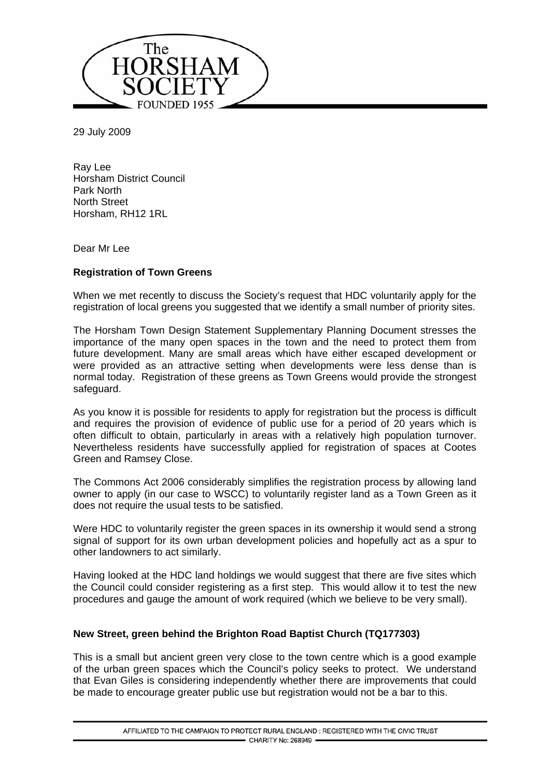

29 July 2009

Ray Lee Horsham District Council Park North North Street Horsham, RH12 1RL

Dear Mr Lee

# **Registration of Town Greens**

When we met recently to discuss the Society's request that HDC voluntarily apply for the registration of local greens you suggested that we identify a small number of priority sites.

The Horsham Town Design Statement Supplementary Planning Document stresses the importance of the many open spaces in the town and the need to protect them from future development. Many are small areas which have either escaped development or were provided as an attractive setting when developments were less dense than is normal today. Registration of these greens as Town Greens would provide the strongest safeguard.

As you know it is possible for residents to apply for registration but the process is difficult and requires the provision of evidence of public use for a period of 20 years which is often difficult to obtain, particularly in areas with a relatively high population turnover. Nevertheless residents have successfully applied for registration of spaces at Cootes Green and Ramsey Close.

The Commons Act 2006 considerably simplifies the registration process by allowing land owner to apply (in our case to WSCC) to voluntarily register land as a Town Green as it does not require the usual tests to be satisfied.

Were HDC to voluntarily register the green spaces in its ownership it would send a strong signal of support for its own urban development policies and hopefully act as a spur to other landowners to act similarly.

Having looked at the HDC land holdings we would suggest that there are five sites which the Council could consider registering as a first step. This would allow it to test the new procedures and gauge the amount of work required (which we believe to be very small).

# **New Street, green behind the Brighton Road Baptist Church (TQ177303)**

This is a small but ancient green very close to the town centre which is a good example of the urban green spaces which the Council's policy seeks to protect. We understand that Evan Giles is considering independently whether there are improvements that could be made to encourage greater public use but registration would not be a bar to this.